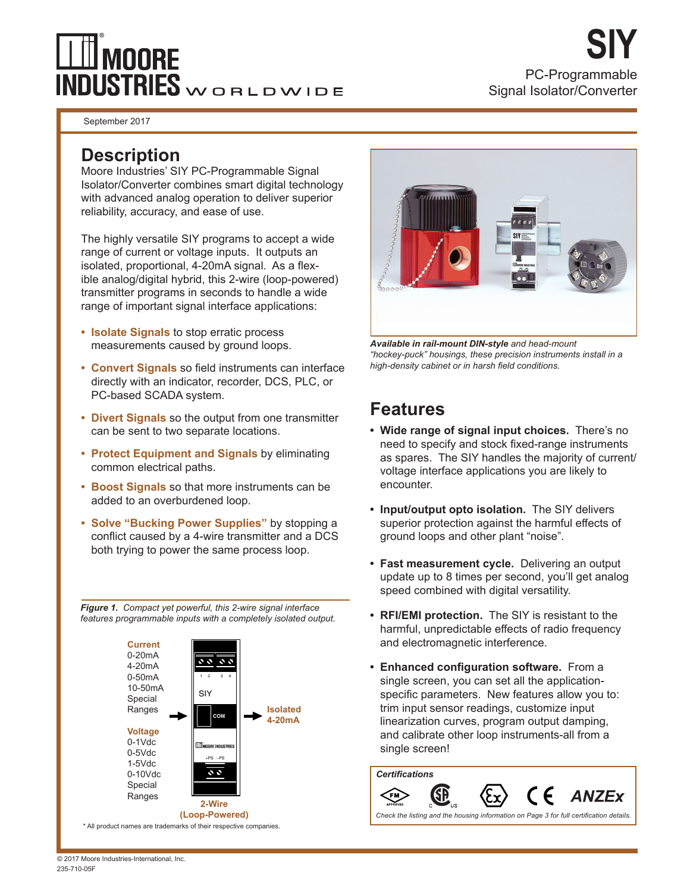# **MOORE INDUSTRIES** WORLDWIDE

PC-Programmable Signal Isolator/Converter **SIY**

September 2017

## **Description**

Moore Industries' SIY PC-Programmable Signal Isolator/Converter combines smart digital technology with advanced analog operation to deliver superior reliability, accuracy, and ease of use.

The highly versatile SIY programs to accept a wide range of current or voltage inputs. It outputs an isolated, proportional, 4-20mA signal. As a flexible analog/digital hybrid, this 2-wire (loop-powered) transmitter programs in seconds to handle a wide range of important signal interface applications:

- **• Isolate Signals** to stop erratic process measurements caused by ground loops.
- **• Convert Signals** so field instruments can interface directly with an indicator, recorder, DCS, PLC, or PC-based SCADA system.
- **• Divert Signals** so the output from one transmitter can be sent to two separate locations.
- **• Protect Equipment and Signals** by eliminating common electrical paths.
- **• Boost Signals** so that more instruments can be added to an overburdened loop.
- **• Solve "Bucking Power Supplies"** by stopping a conflict caused by a 4-wire transmitter and a DCS both trying to power the same process loop.

*Figure 1. Compact yet powerful, this 2-wire signal interface features programmable inputs with a completely isolated output.*



*Available in rail-mount DIN-style and head-mount "hockey-puck" housings, these precision instruments install in a high-density cabinet or in harsh field conditions.*

# **Features**

- **• Wide range of signal input choices.** There's no need to specify and stock fixed-range instruments as spares. The SIY handles the majority of current/ voltage interface applications you are likely to encounter.
- **• Input/output opto isolation.** The SIY delivers superior protection against the harmful effects of ground loops and other plant "noise".
- **• Fast measurement cycle.** Delivering an output update up to 8 times per second, you'll get analog speed combined with digital versatility.
- **• RFI/EMI protection.** The SIY is resistant to the harmful, unpredictable effects of radio frequency and electromagnetic interference.
- **• Enhanced configuration software.** From a single screen, you can set all the applicationspecific parameters. New features allow you to: trim input sensor readings, customize input linearization curves, program output damping, and calibrate other loop instruments-all from a single screen!

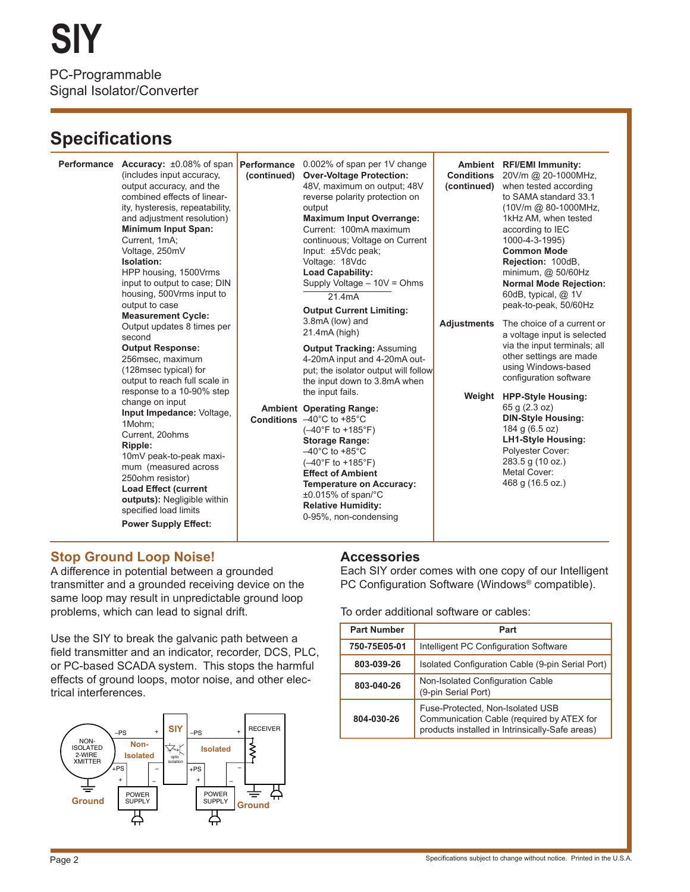# **Specifications**

(includes input accuracy, output accuracy, and the combined effects of linearity, hysteresis, repeatability, and adjustment resolution) **Minimum Input Span:** Current, 1mA; Voltage, 250mV **Isolation:**  HPP housing, 1500Vrms input to output to case; DIN housing, 500Vrms input to output to case **Measurement Cycle:** Output updates 8 times per second **Output Response:**  256msec, maximum (128msec typical) for output to reach full scale in response to a 10-90% step change on input **Input Impedance:** Voltage, 1Mohm; Current, 20ohms **Ripple:** 10mV peak-to-peak maximum (measured across 250ohm resistor) **Load Effect (current outputs):** Negligible within specified load limits **Power Supply Effect:**

0.002% of span per 1V change **Over-Voltage Protection:**  48V, maximum on output; 48V reverse polarity protection on output **Maximum Input Overrange:**  Current: 100mA maximum continuous; Voltage on Current Input: ±5Vdc peak; Voltage: 18Vdc **Load Capability:** Supply Voltage – 10V = Ohms 21.4mA **Output Current Limiting:**  3.8mA (low) and 21.4mA (high) **Output Tracking:** Assuming 4-20mA input and 4-20mA output; the isolator output will follow the input down to 3.8mA when the input fails. **Accuracy:** ±0.08% of span **Performance Performance (continued)**

> **Operating Range: Ambient** –40°C to +85°C **Conditions** (–40°F to +185°F) **Storage Range:**  $-40^{\circ}$ C to +85 $^{\circ}$ C (–40°F to +185°F) **Effect of Ambient Temperature on Accuracy:**  ±0.015% of span/°C **Relative Humidity:** 0-95%, non-condensing

**Ambient RFI/EMI Immunity: Conditions (continued) Adjustments Weight HPP-Style Housing:** 20V/m @ 20-1000MHz, when tested according to SAMA standard 33.1 (10V/m @ 80-1000MHz, 1kHz AM, when tested according to IEC 1000-4-3-1995) **Common Mode Rejection:** 100dB, minimum, @ 50/60Hz **Normal Mode Rejection:**  60dB, typical, @ 1V peak-to-peak, 50/60Hz The choice of a current or a voltage input is selected via the input terminals; all other settings are made using Windows-based configuration software 65 g (2.3 oz) **DIN-Style Housing:** 184 g (6.5 oz) **LH1-Style Housing:** Polyester Cover: 283.5 g (10 oz.) Metal Cover:

#### 468 g (16.5 oz.)

### **Stop Ground Loop Noise!**

A difference in potential between a grounded transmitter and a grounded receiving device on the same loop may result in unpredictable ground loop problems, which can lead to signal drift.

Use the SIY to break the galvanic path between a field transmitter and an indicator, recorder, DCS, PLC, or PC-based SCADA system. This stops the harmful effects of ground loops, motor noise, and other electrical interferences.



### **Accessories**

Each SIY order comes with one copy of our Intelligent PC Configuration Software (Windows® compatible).

To order additional software or cables:

| <b>Part Number</b> | Part                                                                                                                             |  |  |  |  |  |
|--------------------|----------------------------------------------------------------------------------------------------------------------------------|--|--|--|--|--|
| 750-75E05-01       | Intelligent PC Configuration Software                                                                                            |  |  |  |  |  |
| 803-039-26         | Isolated Configuration Cable (9-pin Serial Port)                                                                                 |  |  |  |  |  |
| 803-040-26         | Non-Isolated Configuration Cable<br>(9-pin Serial Port)                                                                          |  |  |  |  |  |
| 804-030-26         | Fuse-Protected, Non-Isolated USB<br>Communication Cable (required by ATEX for<br>products installed in Intrinsically-Safe areas) |  |  |  |  |  |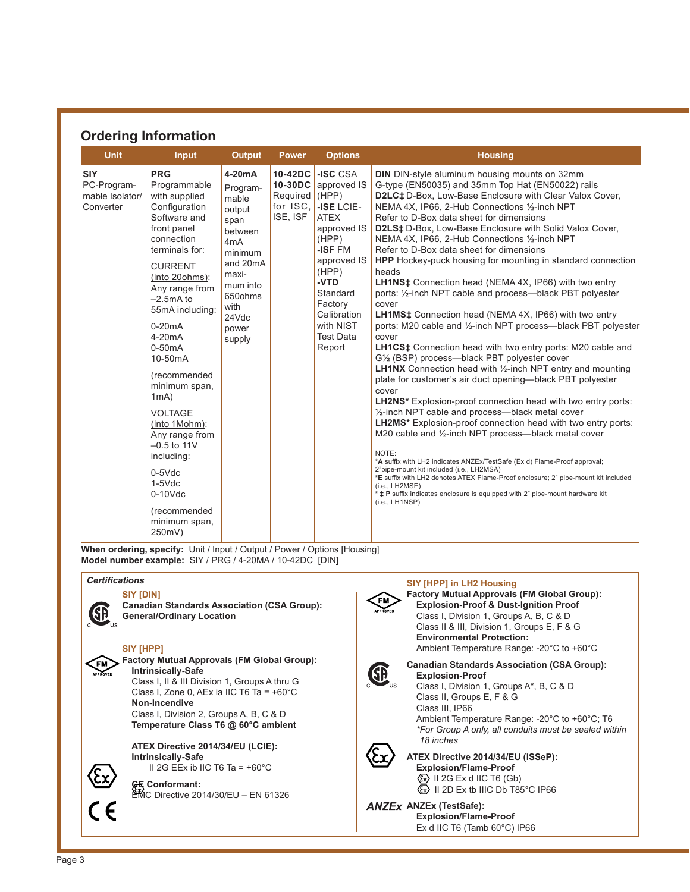### **Ordering Information**

| <b>Unit</b>                                               | <b>Input</b>                                                                                                                                                                                                                                                                                                                                                                                                                                                                 | <b>Output</b>                                                                                                                                                                        | <b>Power</b>                           | <b>Options</b>                                                                                                                                                                                                                                    | <b>Housing</b>                                                                                                                                                                                                                                                                                                                                                                                                                                                                                                                                                                                                                                                                                                                                                                                                                                                                                                                                                                                                                                                                                                                                                                                                                                                                                                                                                                                                                                                                                                                                                                                                                                                                                         |
|-----------------------------------------------------------|------------------------------------------------------------------------------------------------------------------------------------------------------------------------------------------------------------------------------------------------------------------------------------------------------------------------------------------------------------------------------------------------------------------------------------------------------------------------------|--------------------------------------------------------------------------------------------------------------------------------------------------------------------------------------|----------------------------------------|---------------------------------------------------------------------------------------------------------------------------------------------------------------------------------------------------------------------------------------------------|--------------------------------------------------------------------------------------------------------------------------------------------------------------------------------------------------------------------------------------------------------------------------------------------------------------------------------------------------------------------------------------------------------------------------------------------------------------------------------------------------------------------------------------------------------------------------------------------------------------------------------------------------------------------------------------------------------------------------------------------------------------------------------------------------------------------------------------------------------------------------------------------------------------------------------------------------------------------------------------------------------------------------------------------------------------------------------------------------------------------------------------------------------------------------------------------------------------------------------------------------------------------------------------------------------------------------------------------------------------------------------------------------------------------------------------------------------------------------------------------------------------------------------------------------------------------------------------------------------------------------------------------------------------------------------------------------------|
| <b>SIY</b><br>PC-Program-<br>mable Isolator/<br>Converter | <b>PRG</b><br>Programmable<br>with supplied<br>Configuration<br>Software and<br>front panel<br>connection<br>terminals for:<br><b>CURRENT</b><br>(into 20ohms):<br>Any range from<br>$-2.5mA$ to<br>55mA including:<br>$0-20mA$<br>$4-20mA$<br>$0-50mA$<br>10-50mA<br>(recommended<br>minimum span,<br>1mA)<br>VOLTAGE<br>(into 1Mohm):<br>Any range from<br>$-0.5$ to 11V<br>including:<br>$0-5Vdc$<br>$1-5$ $Vdc$<br>$0-10$ Vdc<br>(recommended<br>minimum span,<br>250mV) | 4-20 <sub>m</sub> A<br>Program-<br>mable<br>output<br>span<br>between<br>4 <sub>m</sub> A<br>minimum<br>and 20mA<br>maxi-<br>mum into<br>650ohms<br>with<br>24Vdc<br>power<br>supply | Required (HPP)<br>for ISC.<br>ISE, ISF | 10-42DC $\overline{\phantom{a}}$ -ISC CSA<br>10-30DC approved IS<br>-ISE LCIE-<br><b>ATEX</b><br>approved IS<br>(HPP)<br>-ISF FM<br>approved IS<br>(HPP)<br>-VTD<br>Standard<br>Factory<br>Calibration<br>with NIST<br><b>Test Data</b><br>Report | <b>DIN</b> DIN-style aluminum housing mounts on 32mm<br>G-type (EN50035) and 35mm Top Hat (EN50022) rails<br>D2LC‡ D-Box, Low-Base Enclosure with Clear Valox Cover,<br>NEMA 4X, IP66, 2-Hub Connections 1/2-inch NPT<br>Refer to D-Box data sheet for dimensions<br>D2LS <sup>±</sup> D-Box, Low-Base Enclosure with Solid Valox Cover,<br>NEMA 4X, IP66, 2-Hub Connections 1/2-inch NPT<br>Refer to D-Box data sheet for dimensions<br>HPP Hockey-puck housing for mounting in standard connection<br>heads<br><b>LH1NS</b> <sup>±</sup> Connection head (NEMA 4X, IP66) with two entry<br>ports: 1/2-inch NPT cable and process-black PBT polyester<br>cover<br><b>LH1MS‡</b> Connection head (NEMA 4X, IP66) with two entry<br>ports: M20 cable and 1/2-inch NPT process--black PBT polyester<br>cover<br><b>LH1CS</b> <sup>±</sup> Connection head with two entry ports: M20 cable and<br>G1/2 (BSP) process-black PBT polyester cover<br><b>LH1NX</b> Connection head with $\frac{1}{2}$ -inch NPT entry and mounting<br>plate for customer's air duct opening-black PBT polyester<br>cover<br><b>LH2NS*</b> Explosion-proof connection head with two entry ports:<br>1/2-inch NPT cable and process--black metal cover<br>LH2MS* Explosion-proof connection head with two entry ports:<br>M20 cable and 1/2-inch NPT process—black metal cover<br>NOTE:<br>*A suffix with LH2 indicates ANZEx/TestSafe (Ex d) Flame-Proof approval;<br>2"pipe-mount kit included (i.e., LH2MSA)<br>*E suffix with LH2 denotes ATEX Flame-Proof enclosure; 2" pipe-mount kit included<br>(i.e., LH2MSE)<br>* <b>‡ P</b> suffix indicates enclosure is equipped with 2" pipe-mount hardware kit<br>(i.e., LH1NSP) |

When ordering, specify: Unit / Input / Output / Power / Options [Housing] **Model number example:**SIY / PRG / 4-20MA / 10-42DC [DIN]

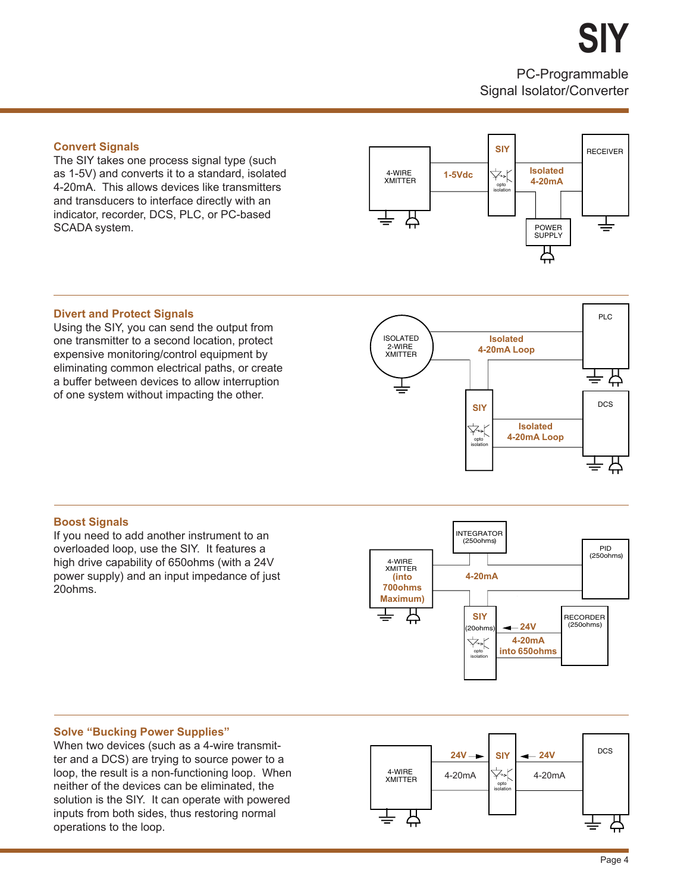**SIY**

PC-Programmable Signal Isolator/Converter

#### **Convert Signals**

The SIY takes one process signal type (such as 1-5V) and converts it to a standard, isolated 4-20mA. This allows devices like transmitters and transducers to interface directly with an indicator, recorder, DCS, PLC, or PC-based SCADA system.



#### **Divert and Protect Signals**

Using the SIY, you can send the output from one transmitter to a second location, protect expensive monitoring/control equipment by eliminating common electrical paths, or create a buffer between devices to allow interruption of one system without impacting the other.



#### **Boost Signals**

If you need to add another instrument to an overloaded loop, use the SIY. It features a high drive capability of 650ohms (with a 24V power supply) and an input impedance of just 20ohms.



#### **Solve "Bucking Power Supplies"**

When two devices (such as a 4-wire transmitter and a DCS) are trying to source power to a loop, the result is a non-functioning loop. When neither of the devices can be eliminated, the solution is the SIY. It can operate with powered inputs from both sides, thus restoring normal operations to the loop.

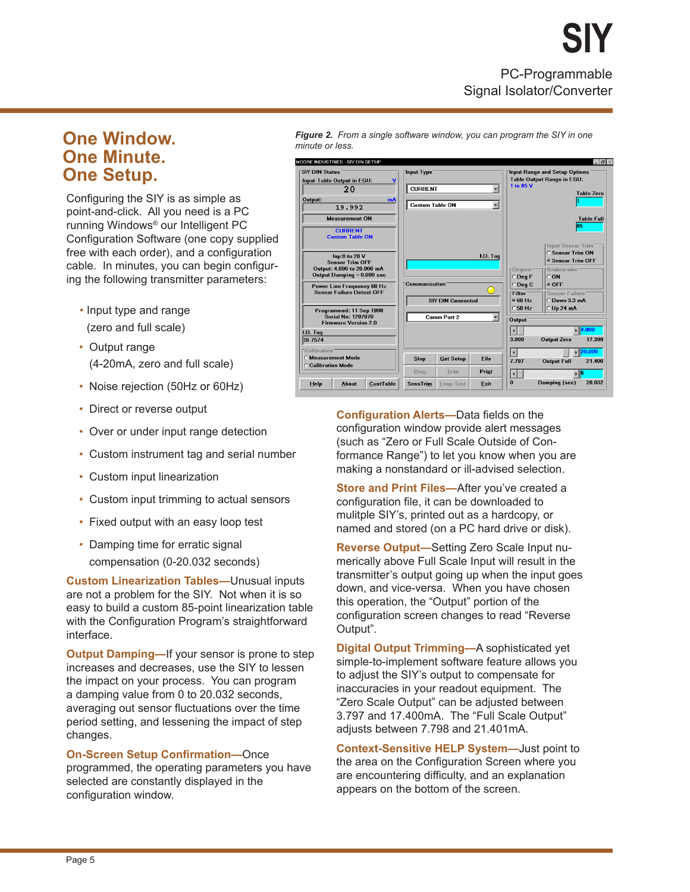PC-Programmable Signal Isolator/Converter **SIY**

### **One Window. One Minute. One Setup.**

Configuring the SIY is as simple as point-and-click. All you need is a PC running Windows® our Intelligent PC Configuration Software (one copy supplied free with each order), and a configuration cable. In minutes, you can begin configuring the following transmitter parameters:

- Input type and range (zero and full scale)
- Output range (4-20mA, zero and full scale)
- Noise rejection (50Hz or 60Hz)
- Direct or reverse output
- Over or under input range detection
- Custom instrument tag and serial number
- Custom input linearization
- Custom input trimming to actual sensors
- Fixed output with an easy loop test
- Damping time for erratic signal compensation (0-20.032 seconds)

**Custom Linearization Tables—**Unusual inputs are not a problem for the SIY. Not when it is so easy to build a custom 85-point linearization table with the Configuration Program's straightforward interface.

**Output Damping—**If your sensor is prone to step increases and decreases, use the SIY to lessen the impact on your process. You can program a damping value from 0 to 20.032 seconds, averaging out sensor fluctuations over the time period setting, and lessening the impact of step changes.

**On-Screen Setup Confirmation—**Once programmed, the operating parameters you have selected are constantly displayed in the configuration window.

*Figure 2. From a single software window, you can program the SIY in one minute or less.*

| <b>SIY DIN Status</b>                                                 | <b>Input-Table Output in EGU:</b>                        |                  | <b>Input Type</b>      |                          |          | Input Range and Setup Options<br><b>Table Output Range in EGU:</b> |                                   |  |
|-----------------------------------------------------------------------|----------------------------------------------------------|------------------|------------------------|--------------------------|----------|--------------------------------------------------------------------|-----------------------------------|--|
|                                                                       | 20                                                       |                  | <b>CURRENT</b>         |                          |          | 1 to 85 V                                                          |                                   |  |
| Output:                                                               |                                                          | mA               |                        |                          |          |                                                                    | <b>Table Zero</b>                 |  |
|                                                                       | 19.992                                                   |                  | <b>Custom Table ON</b> |                          | ٠        |                                                                    |                                   |  |
|                                                                       | <b>Measurement ON</b>                                    |                  |                        |                          |          |                                                                    | <b>Table Full</b>                 |  |
|                                                                       | <b>CURRENT</b><br><b>Custom Table ON</b>                 |                  |                        |                          |          |                                                                    | 85                                |  |
|                                                                       |                                                          |                  |                        |                          |          |                                                                    | <b>FInput Sensor Trim</b>         |  |
| Inp:0 to 20 V                                                         |                                                          |                  |                        |                          | I.D. Taq |                                                                    | <b>C Sensor Trim ON</b>           |  |
|                                                                       | <b>Sensor Trim OFF</b>                                   |                  |                        |                          |          |                                                                    | <b>6 Sensor Trim OFF</b>          |  |
|                                                                       | Output: 4.000 to 20.000 mA<br>Output Damping = 0.000 sec |                  |                        |                          |          | Degree <sup>®</sup><br>$O$ Deq $F$                                 | <b>FBroken wire</b><br>$\circ$ ON |  |
|                                                                       |                                                          |                  | Communication          |                          |          | C Deq C                                                            | ⊙ OFF                             |  |
| <b>Power Line Frequency 60 Hz</b><br><b>Sensor Failure Detect OFF</b> |                                                          |                  |                        |                          | 'Filter' | 'Sensor Failure'                                                   |                                   |  |
|                                                                       |                                                          |                  |                        | <b>SIY DIN Connected</b> |          | 660Hz                                                              | O Down 3.3 mA                     |  |
|                                                                       | Programmed: 11 Sep 1998                                  |                  |                        |                          |          | C50 Hz                                                             | $O$ Up 24 mA                      |  |
|                                                                       | <b>Serial No: 1297970</b><br><b>Firmware Version 2.0</b> |                  |                        | <b>Comm Port 2</b>       | Ы        | Output <sup>:</sup>                                                |                                   |  |
| I.D. Tag                                                              |                                                          |                  |                        |                          |          |                                                                    | 4.000                             |  |
| SI-7574                                                               |                                                          |                  |                        |                          |          | 3.800                                                              | <b>Output Zero</b><br>17.399      |  |
| <b>Calibration</b>                                                    |                                                          |                  |                        |                          |          | $\blacktriangleleft$                                               | 20.000                            |  |
| <b>C Measurement Mode</b>                                             |                                                          |                  | <b>Stop</b>            | <b>Get Setup</b>         | File     | 7.797                                                              | <b>Output Full</b><br>21.400      |  |
| <b>Calibration Mode</b>                                               |                                                          |                  | Prog                   | Trim                     | Print    | п                                                                  | $\mathbf{E}$                      |  |
| Help                                                                  | About                                                    | <b>CustTable</b> | <b>SensTrim</b>        | <b>Loop Test</b>         | Exit     | $\bf{0}$                                                           | 20.032<br>Damping (sec)           |  |

**Configuration Alerts—**Data fields on the configuration window provide alert messages (such as "Zero or Full Scale Outside of Conformance Range") to let you know when you are making a nonstandard or ill-advised selection.

**Store and Print Files—**After you've created a configuration file, it can be downloaded to mulitple SIY's, printed out as a hardcopy, or named and stored (on a PC hard drive or disk).

**Reverse Output—**Setting Zero Scale Input numerically above Full Scale Input will result in the transmitter's output going up when the input goes down, and vice-versa. When you have chosen this operation, the "Output" portion of the configuration screen changes to read "Reverse Output".

**Digital Output Trimming—**A sophisticated yet simple-to-implement software feature allows you to adjust the SIY's output to compensate for inaccuracies in your readout equipment. The "Zero Scale Output" can be adjusted between 3.797 and 17.400mA. The "Full Scale Output" adjusts between 7.798 and 21.401mA.

**Context-Sensitive HELP System—**Just point to the area on the Configuration Screen where you are encountering difficulty, and an explanation appears on the bottom of the screen.